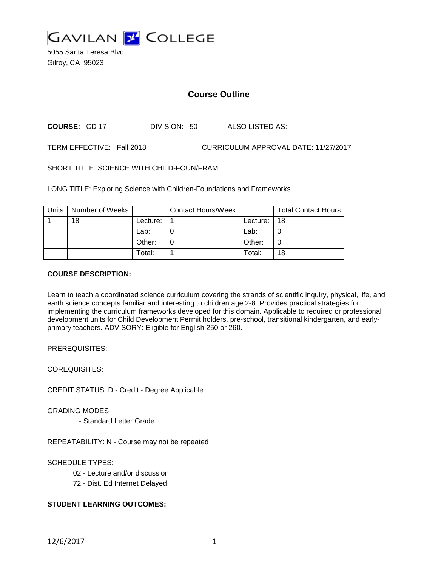

5055 Santa Teresa Blvd Gilroy, CA 95023

# **Course Outline**

**COURSE:** CD 17 DIVISION: 50 ALSO LISTED AS:

TERM EFFECTIVE: Fall 2018 CURRICULUM APPROVAL DATE: 11/27/2017

SHORT TITLE: SCIENCE WITH CHILD-FOUN/FRAM

LONG TITLE: Exploring Science with Children-Foundations and Frameworks

| Units | Number of Weeks |          | <b>Contact Hours/Week</b> |          | <b>Total Contact Hours</b> |
|-------|-----------------|----------|---------------------------|----------|----------------------------|
|       | 18              | Lecture: |                           | Lecture: | 18                         |
|       |                 | Lab:     |                           | Lab:     |                            |
|       |                 | Other:   |                           | Other:   |                            |
|       |                 | Total:   |                           | Total:   | 18                         |

### **COURSE DESCRIPTION:**

Learn to teach a coordinated science curriculum covering the strands of scientific inquiry, physical, life, and earth science concepts familiar and interesting to children age 2-8. Provides practical strategies for implementing the curriculum frameworks developed for this domain. Applicable to required or professional development units for Child Development Permit holders, pre-school, transitional kindergarten, and earlyprimary teachers. ADVISORY: Eligible for English 250 or 260.

PREREQUISITES:

COREQUISITES:

CREDIT STATUS: D - Credit - Degree Applicable

GRADING MODES

L - Standard Letter Grade

REPEATABILITY: N - Course may not be repeated

SCHEDULE TYPES:

- 02 Lecture and/or discussion
- 72 Dist. Ed Internet Delayed

# **STUDENT LEARNING OUTCOMES:**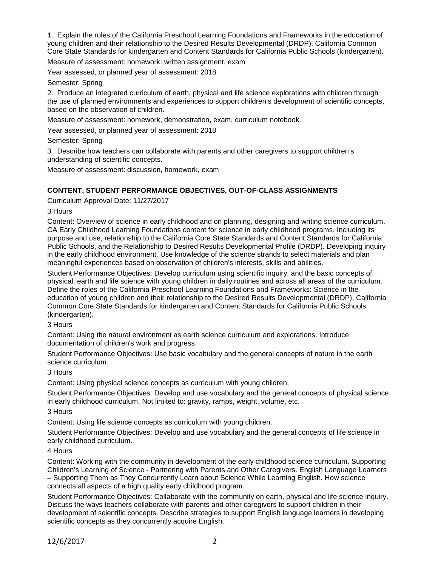1. Explain the roles of the California Preschool Learning Foundations and Frameworks in the education of young children and their relationship to the Desired Results Developmental (DRDP), California Common Core State Standards for kindergarten and Content Standards for California Public Schools (kindergarten).

Measure of assessment: homework: written assignment, exam

Year assessed, or planned year of assessment: 2018

#### Semester: Spring

2. Produce an integrated curriculum of earth, physical and life science explorations with children through the use of planned environments and experiences to support children's development of scientific concepts, based on the observation of children.

Measure of assessment: homework, demonstration, exam, curriculum notebook

Year assessed, or planned year of assessment: 2018

Semester: Spring

3. Describe how teachers can collaborate with parents and other caregivers to support children's understanding of scientific concepts.

Measure of assessment: discussion, homework, exam

# **CONTENT, STUDENT PERFORMANCE OBJECTIVES, OUT-OF-CLASS ASSIGNMENTS**

Curriculum Approval Date: 11/27/2017

### 3 Hours

Content: Overview of science in early childhood and on planning, designing and writing science curriculum. CA Early Childhood Learning Foundations content for science in early childhood programs. Including its purpose and use, relationship to the California Core State Standards and Content Standards for California Public Schools, and the Relationship to Desired Results Developmental Profile (DRDP). Developing inquiry in the early childhood environment. Use knowledge of the science strands to select materials and plan meaningful experiences based on observation of children's interests, skills and abilities.

Student Performance Objectives: Develop curriculum using scientific inquiry, and the basic concepts of physical, earth and life science with young children in daily routines and across all areas of the curriculum. Define the roles of the California Preschool Learning Foundations and Frameworks: Science in the education of young children and their relationship to the Desired Results Developmental (DRDP), California Common Core State Standards for kindergarten and Content Standards for California Public Schools (kindergarten).

### 3 Hours

Content: Using the natural environment as earth science curriculum and explorations. Introduce documentation of children's work and progress.

Student Performance Objectives: Use basic vocabulary and the general concepts of nature in the earth science curriculum.

3 Hours

Content: Using physical science concepts as curriculum with young children.

Student Performance Objectives: Develop and use vocabulary and the general concepts of physical science in early childhood curriculum. Not limited to: gravity, ramps, weight, volume, etc.

3 Hours

Content: Using life science concepts as curriculum with young children.

Student Performance Objectives: Develop and use vocabulary and the general concepts of life science in early childhood curriculum.

### 4 Hours

Content: Working with the community in development of the early childhood science curriculum. Supporting Children's Learning of Science - Partnering with Parents and Other Caregivers. English Language Learners – Supporting Them as They Concurrently Learn about Science While Learning English. How science connects all aspects of a high quality early childhood program.

Student Performance Objectives: Collaborate with the community on earth, physical and life science inquiry. Discuss the ways teachers collaborate with parents and other caregivers to support children in their development of scientific concepts. Describe strategies to support English language learners in developing scientific concepts as they concurrently acquire English.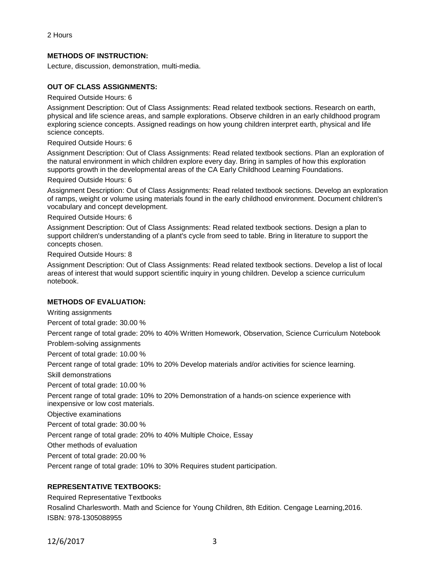# **METHODS OF INSTRUCTION:**

Lecture, discussion, demonstration, multi-media.

## **OUT OF CLASS ASSIGNMENTS:**

Required Outside Hours: 6

Assignment Description: Out of Class Assignments: Read related textbook sections. Research on earth, physical and life science areas, and sample explorations. Observe children in an early childhood program exploring science concepts. Assigned readings on how young children interpret earth, physical and life science concepts.

### Required Outside Hours: 6

Assignment Description: Out of Class Assignments: Read related textbook sections. Plan an exploration of the natural environment in which children explore every day. Bring in samples of how this exploration supports growth in the developmental areas of the CA Early Childhood Learning Foundations.

### Required Outside Hours: 6

Assignment Description: Out of Class Assignments: Read related textbook sections. Develop an exploration of ramps, weight or volume using materials found in the early childhood environment. Document children's vocabulary and concept development.

#### Required Outside Hours: 6

Assignment Description: Out of Class Assignments: Read related textbook sections. Design a plan to support children's understanding of a plant's cycle from seed to table. Bring in literature to support the concepts chosen.

Required Outside Hours: 8

Assignment Description: Out of Class Assignments: Read related textbook sections. Develop a list of local areas of interest that would support scientific inquiry in young children. Develop a science curriculum notebook.

### **METHODS OF EVALUATION:**

Writing assignments Percent of total grade: 30.00 % Percent range of total grade: 20% to 40% Written Homework, Observation, Science Curriculum Notebook Problem-solving assignments Percent of total grade: 10.00 % Percent range of total grade: 10% to 20% Develop materials and/or activities for science learning. Skill demonstrations Percent of total grade: 10.00 % Percent range of total grade: 10% to 20% Demonstration of a hands-on science experience with inexpensive or low cost materials. Objective examinations Percent of total grade: 30.00 % Percent range of total grade: 20% to 40% Multiple Choice, Essay Other methods of evaluation Percent of total grade: 20.00 % Percent range of total grade: 10% to 30% Requires student participation.

# **REPRESENTATIVE TEXTBOOKS:**

Required Representative Textbooks Rosalind Charlesworth. Math and Science for Young Children, 8th Edition. Cengage Learning,2016. ISBN: 978-1305088955